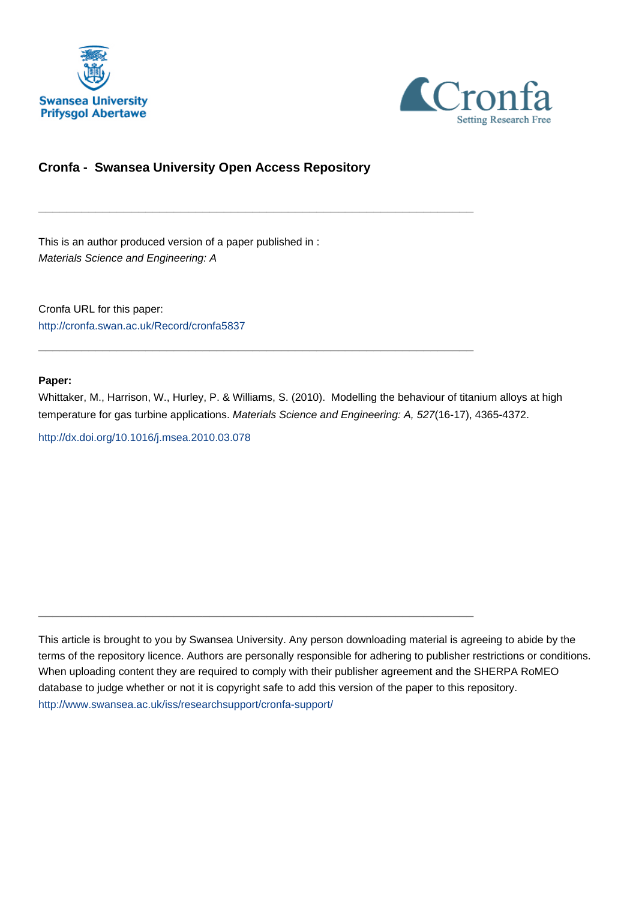



# **Cronfa - Swansea University Open Access Repository**

\_\_\_\_\_\_\_\_\_\_\_\_\_\_\_\_\_\_\_\_\_\_\_\_\_\_\_\_\_\_\_\_\_\_\_\_\_\_\_\_\_\_\_\_\_\_\_\_\_\_\_\_\_\_\_\_\_\_\_\_\_

 $\_$  , and the set of the set of the set of the set of the set of the set of the set of the set of the set of the set of the set of the set of the set of the set of the set of the set of the set of the set of the set of th

 $\_$  , and the set of the set of the set of the set of the set of the set of the set of the set of the set of the set of the set of the set of the set of the set of the set of the set of the set of the set of the set of th

This is an author produced version of a paper published in : Materials Science and Engineering: A

Cronfa URL for this paper: <http://cronfa.swan.ac.uk/Record/cronfa5837>

#### **Paper:**

Whittaker, M., Harrison, W., Hurley, P. & Williams, S. (2010). Modelling the behaviour of titanium alloys at high temperature for gas turbine applications. Materials Science and Engineering: A, 527(16-17), 4365-4372.

<http://dx.doi.org/10.1016/j.msea.2010.03.078>

This article is brought to you by Swansea University. Any person downloading material is agreeing to abide by the terms of the repository licence. Authors are personally responsible for adhering to publisher restrictions or conditions. When uploading content they are required to comply with their publisher agreement and the SHERPA RoMEO database to judge whether or not it is copyright safe to add this version of the paper to this repository. [http://www.swansea.ac.uk/iss/researchsupport/cronfa-support/](http://www.swansea.ac.uk/iss/researchsupport/cronfa-support/ )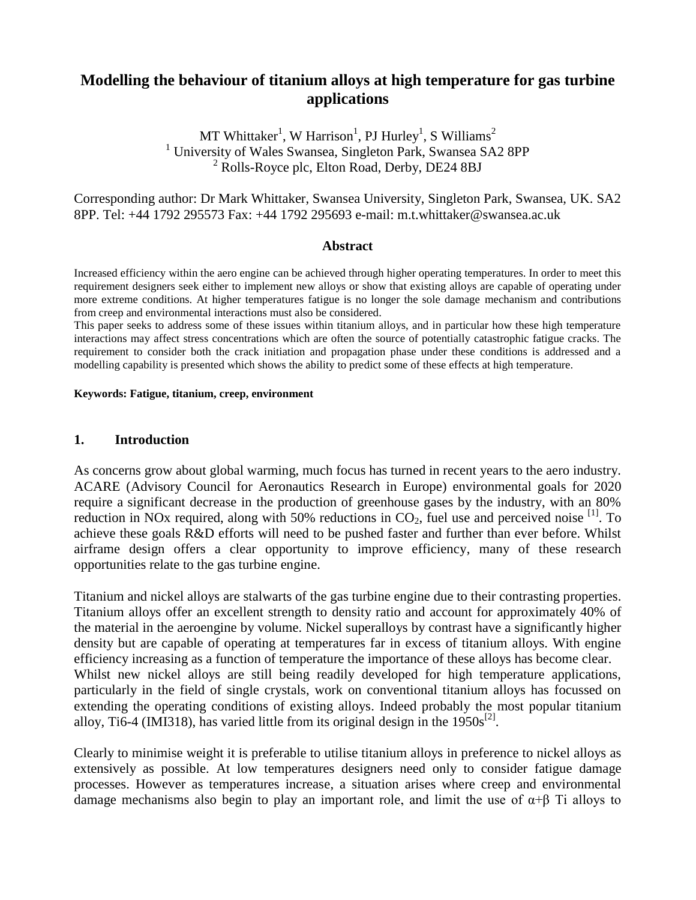# **Modelling the behaviour of titanium alloys at high temperature for gas turbine applications**

MT Whittaker<sup>1</sup>, W Harrison<sup>1</sup>, PJ Hurley<sup>1</sup>, S Williams<sup>2</sup> <sup>1</sup> University of Wales Swansea, Singleton Park, Swansea SA2 8PP <sup>2</sup> Rolls-Royce plc, Elton Road, Derby, DE24 8BJ

Corresponding author: Dr Mark Whittaker, Swansea University, Singleton Park, Swansea, UK. SA2 8PP. Tel: +44 1792 295573 Fax: +44 1792 295693 e-mail: m.t.whittaker@swansea.ac.uk

#### **Abstract**

Increased efficiency within the aero engine can be achieved through higher operating temperatures. In order to meet this requirement designers seek either to implement new alloys or show that existing alloys are capable of operating under more extreme conditions. At higher temperatures fatigue is no longer the sole damage mechanism and contributions from creep and environmental interactions must also be considered.

This paper seeks to address some of these issues within titanium alloys, and in particular how these high temperature interactions may affect stress concentrations which are often the source of potentially catastrophic fatigue cracks. The requirement to consider both the crack initiation and propagation phase under these conditions is addressed and a modelling capability is presented which shows the ability to predict some of these effects at high temperature.

#### **Keywords: Fatigue, titanium, creep, environment**

#### **1. Introduction**

As concerns grow about global warming, much focus has turned in recent years to the aero industry. ACARE (Advisory Council for Aeronautics Research in Europe) environmental goals for 2020 require a significant decrease in the production of greenhouse gases by the industry, with an 80% reduction in NOx required, along with 50% reductions in  $CO<sub>2</sub>$ , fuel use and perceived noise <sup>[1]</sup>. To achieve these goals R&D efforts will need to be pushed faster and further than ever before. Whilst airframe design offers a clear opportunity to improve efficiency, many of these research opportunities relate to the gas turbine engine.

Titanium and nickel alloys are stalwarts of the gas turbine engine due to their contrasting properties. Titanium alloys offer an excellent strength to density ratio and account for approximately 40% of the material in the aeroengine by volume. Nickel superalloys by contrast have a significantly higher density but are capable of operating at temperatures far in excess of titanium alloys. With engine efficiency increasing as a function of temperature the importance of these alloys has become clear. Whilst new nickel alloys are still being readily developed for high temperature applications, particularly in the field of single crystals, work on conventional titanium alloys has focussed on extending the operating conditions of existing alloys. Indeed probably the most popular titanium alloy, Ti6-4 (IMI318), has varied little from its original design in the  $1950s^{[2]}$ .

Clearly to minimise weight it is preferable to utilise titanium alloys in preference to nickel alloys as extensively as possible. At low temperatures designers need only to consider fatigue damage processes. However as temperatures increase, a situation arises where creep and environmental damage mechanisms also begin to play an important role, and limit the use of  $\alpha+\beta$  Ti alloys to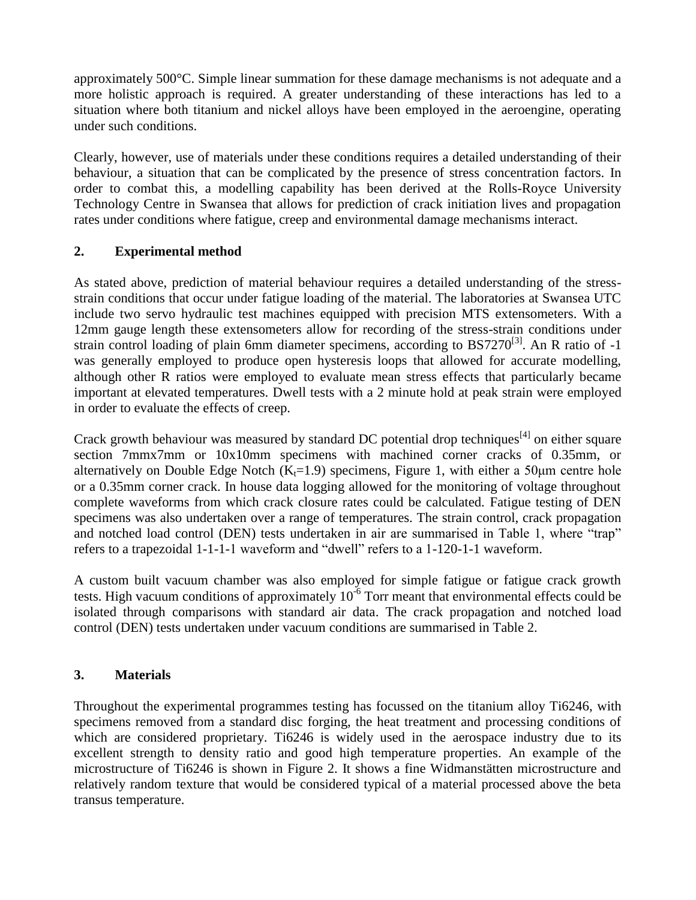approximately 500°C. Simple linear summation for these damage mechanisms is not adequate and a more holistic approach is required. A greater understanding of these interactions has led to a situation where both titanium and nickel alloys have been employed in the aeroengine, operating under such conditions.

Clearly, however, use of materials under these conditions requires a detailed understanding of their behaviour, a situation that can be complicated by the presence of stress concentration factors. In order to combat this, a modelling capability has been derived at the Rolls-Royce University Technology Centre in Swansea that allows for prediction of crack initiation lives and propagation rates under conditions where fatigue, creep and environmental damage mechanisms interact.

### **2. Experimental method**

As stated above, prediction of material behaviour requires a detailed understanding of the stressstrain conditions that occur under fatigue loading of the material. The laboratories at Swansea UTC include two servo hydraulic test machines equipped with precision MTS extensometers. With a 12mm gauge length these extensometers allow for recording of the stress-strain conditions under strain control loading of plain 6mm diameter specimens, according to BS7270<sup>[3]</sup>. An R ratio of -1 was generally employed to produce open hysteresis loops that allowed for accurate modelling, although other R ratios were employed to evaluate mean stress effects that particularly became important at elevated temperatures. Dwell tests with a 2 minute hold at peak strain were employed in order to evaluate the effects of creep.

Crack growth behaviour was measured by standard DC potential drop techniques<sup>[4]</sup> on either square section 7mmx7mm or 10x10mm specimens with machined corner cracks of 0.35mm, or alternatively on Double Edge Notch ( $K_f$ =1.9) specimens, Figure 1, with either a 50 $\mu$ m centre hole or a 0.35mm corner crack. In house data logging allowed for the monitoring of voltage throughout complete waveforms from which crack closure rates could be calculated. Fatigue testing of DEN specimens was also undertaken over a range of temperatures. The strain control, crack propagation and notched load control (DEN) tests undertaken in air are summarised in Table 1, where "trap" refers to a trapezoidal 1-1-1-1 waveform and "dwell" refers to a 1-120-1-1 waveform.

A custom built vacuum chamber was also employed for simple fatigue or fatigue crack growth tests. High vacuum conditions of approximately  $10^{-6}$  Torr meant that environmental effects could be isolated through comparisons with standard air data. The crack propagation and notched load control (DEN) tests undertaken under vacuum conditions are summarised in Table 2.

### **3. Materials**

Throughout the experimental programmes testing has focussed on the titanium alloy Ti6246, with specimens removed from a standard disc forging, the heat treatment and processing conditions of which are considered proprietary. Ti6246 is widely used in the aerospace industry due to its excellent strength to density ratio and good high temperature properties. An example of the microstructure of Ti6246 is shown in Figure 2. It shows a fine Widmanstätten microstructure and relatively random texture that would be considered typical of a material processed above the beta transus temperature.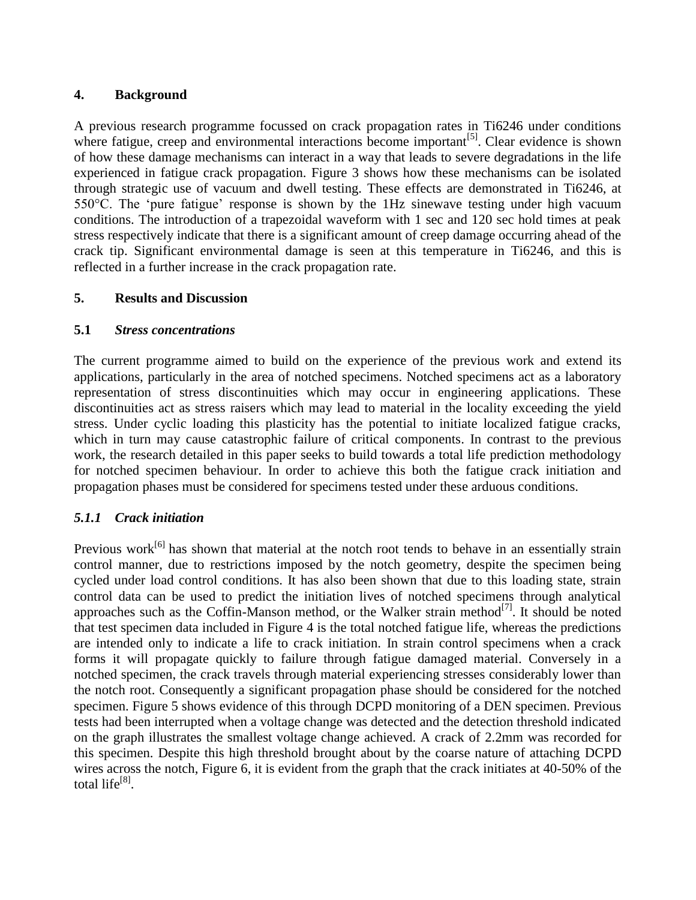### **4. Background**

A previous research programme focussed on crack propagation rates in Ti6246 under conditions where fatigue, creep and environmental interactions become important<sup>[5]</sup>. Clear evidence is shown of how these damage mechanisms can interact in a way that leads to severe degradations in the life experienced in fatigue crack propagation. Figure 3 shows how these mechanisms can be isolated through strategic use of vacuum and dwell testing. These effects are demonstrated in Ti6246, at 550°C. The 'pure fatigue' response is shown by the 1Hz sinewave testing under high vacuum conditions. The introduction of a trapezoidal waveform with 1 sec and 120 sec hold times at peak stress respectively indicate that there is a significant amount of creep damage occurring ahead of the crack tip. Significant environmental damage is seen at this temperature in Ti6246, and this is reflected in a further increase in the crack propagation rate.

#### **5. Results and Discussion**

#### **5.1** *Stress concentrations*

The current programme aimed to build on the experience of the previous work and extend its applications, particularly in the area of notched specimens. Notched specimens act as a laboratory representation of stress discontinuities which may occur in engineering applications. These discontinuities act as stress raisers which may lead to material in the locality exceeding the yield stress. Under cyclic loading this plasticity has the potential to initiate localized fatigue cracks, which in turn may cause catastrophic failure of critical components. In contrast to the previous work, the research detailed in this paper seeks to build towards a total life prediction methodology for notched specimen behaviour. In order to achieve this both the fatigue crack initiation and propagation phases must be considered for specimens tested under these arduous conditions.

### *5.1.1 Crack initiation*

Previous work<sup>[6]</sup> has shown that material at the notch root tends to behave in an essentially strain control manner, due to restrictions imposed by the notch geometry, despite the specimen being cycled under load control conditions. It has also been shown that due to this loading state, strain control data can be used to predict the initiation lives of notched specimens through analytical approaches such as the Coffin-Manson method, or the Walker strain method $^{[7]}$ . It should be noted that test specimen data included in Figure 4 is the total notched fatigue life, whereas the predictions are intended only to indicate a life to crack initiation. In strain control specimens when a crack forms it will propagate quickly to failure through fatigue damaged material. Conversely in a notched specimen, the crack travels through material experiencing stresses considerably lower than the notch root. Consequently a significant propagation phase should be considered for the notched specimen. Figure 5 shows evidence of this through DCPD monitoring of a DEN specimen. Previous tests had been interrupted when a voltage change was detected and the detection threshold indicated on the graph illustrates the smallest voltage change achieved. A crack of 2.2mm was recorded for this specimen. Despite this high threshold brought about by the coarse nature of attaching DCPD wires across the notch, Figure 6, it is evident from the graph that the crack initiates at 40-50% of the total life<sup>[8]</sup>.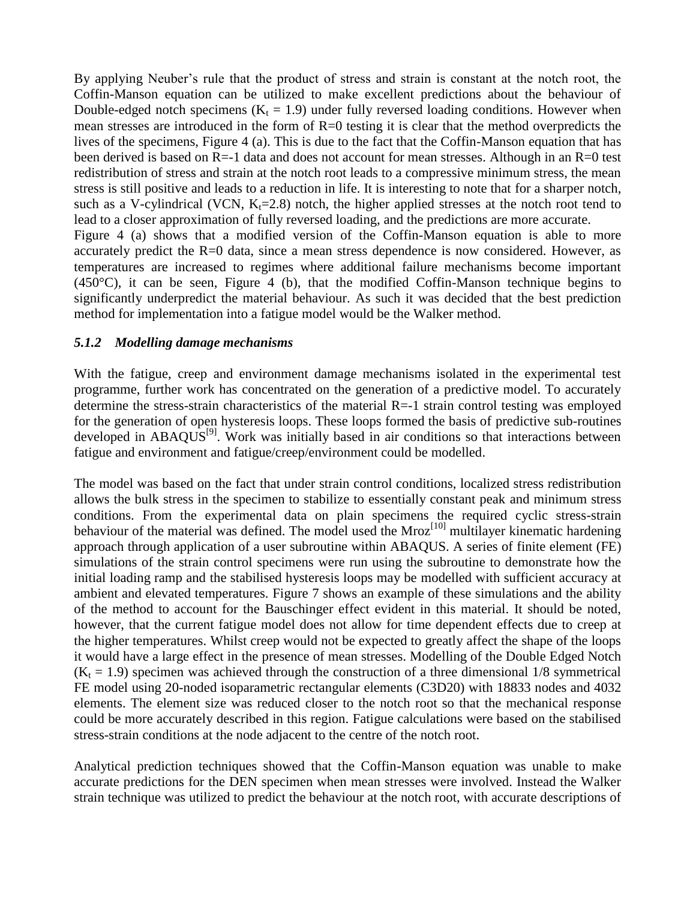By applying Neuber's rule that the product of stress and strain is constant at the notch root, the Coffin-Manson equation can be utilized to make excellent predictions about the behaviour of Double-edged notch specimens ( $K_t = 1.9$ ) under fully reversed loading conditions. However when mean stresses are introduced in the form of  $R=0$  testing it is clear that the method overpredicts the lives of the specimens, Figure 4 (a). This is due to the fact that the Coffin-Manson equation that has been derived is based on R=-1 data and does not account for mean stresses. Although in an R=0 test redistribution of stress and strain at the notch root leads to a compressive minimum stress, the mean stress is still positive and leads to a reduction in life. It is interesting to note that for a sharper notch, such as a V-cylindrical (VCN,  $K_t=2.8$ ) notch, the higher applied stresses at the notch root tend to lead to a closer approximation of fully reversed loading, and the predictions are more accurate. Figure 4 (a) shows that a modified version of the Coffin-Manson equation is able to more accurately predict the R=0 data, since a mean stress dependence is now considered. However, as temperatures are increased to regimes where additional failure mechanisms become important  $(450^{\circ}C)$ , it can be seen, Figure 4 (b), that the modified Coffin-Manson technique begins to significantly underpredict the material behaviour. As such it was decided that the best prediction method for implementation into a fatigue model would be the Walker method.

#### *5.1.2 Modelling damage mechanisms*

With the fatigue, creep and environment damage mechanisms isolated in the experimental test programme, further work has concentrated on the generation of a predictive model. To accurately determine the stress-strain characteristics of the material R=-1 strain control testing was employed for the generation of open hysteresis loops. These loops formed the basis of predictive sub-routines developed in ABAQUS<sup>[9]</sup>. Work was initially based in air conditions so that interactions between fatigue and environment and fatigue/creep/environment could be modelled.

The model was based on the fact that under strain control conditions, localized stress redistribution allows the bulk stress in the specimen to stabilize to essentially constant peak and minimum stress conditions. From the experimental data on plain specimens the required cyclic stress-strain behaviour of the material was defined. The model used the  $Mroz<sup>[10]</sup>$  multilayer kinematic hardening approach through application of a user subroutine within ABAQUS. A series of finite element (FE) simulations of the strain control specimens were run using the subroutine to demonstrate how the initial loading ramp and the stabilised hysteresis loops may be modelled with sufficient accuracy at ambient and elevated temperatures. Figure 7 shows an example of these simulations and the ability of the method to account for the Bauschinger effect evident in this material. It should be noted, however, that the current fatigue model does not allow for time dependent effects due to creep at the higher temperatures. Whilst creep would not be expected to greatly affect the shape of the loops it would have a large effect in the presence of mean stresses. Modelling of the Double Edged Notch  $(K_t = 1.9)$  specimen was achieved through the construction of a three dimensional 1/8 symmetrical FE model using 20-noded isoparametric rectangular elements (C3D20) with 18833 nodes and 4032 elements. The element size was reduced closer to the notch root so that the mechanical response could be more accurately described in this region. Fatigue calculations were based on the stabilised stress-strain conditions at the node adjacent to the centre of the notch root.

Analytical prediction techniques showed that the Coffin-Manson equation was unable to make accurate predictions for the DEN specimen when mean stresses were involved. Instead the Walker strain technique was utilized to predict the behaviour at the notch root, with accurate descriptions of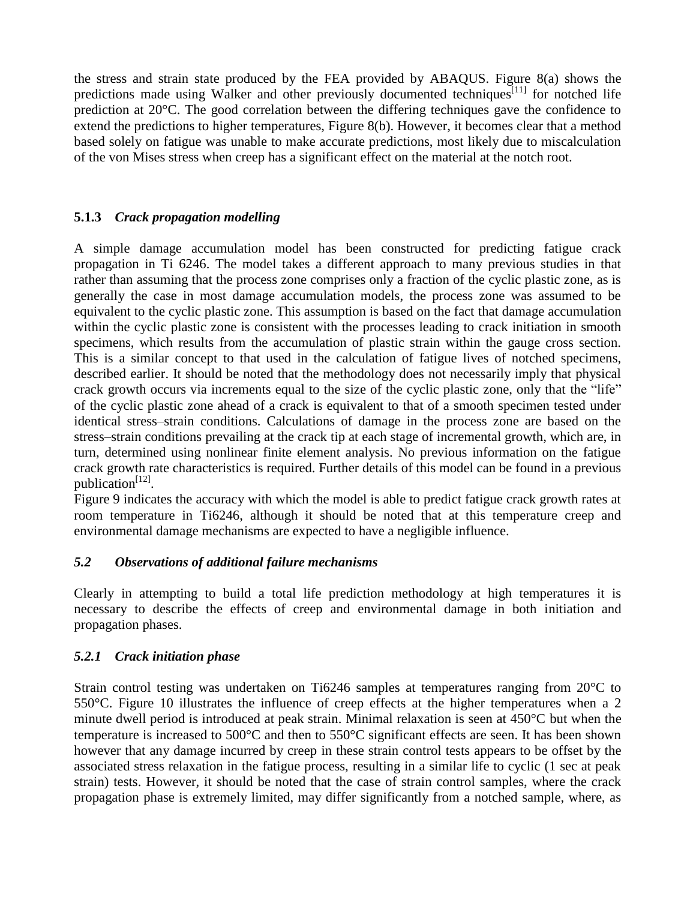the stress and strain state produced by the FEA provided by ABAQUS. Figure 8(a) shows the predictions made using Walker and other previously documented techniques<sup>[11]</sup> for notched life prediction at 20°C. The good correlation between the differing techniques gave the confidence to extend the predictions to higher temperatures, Figure 8(b). However, it becomes clear that a method based solely on fatigue was unable to make accurate predictions, most likely due to miscalculation of the von Mises stress when creep has a significant effect on the material at the notch root.

### **5.1.3** *Crack propagation modelling*

A simple damage accumulation model has been constructed for predicting fatigue crack propagation in Ti 6246. The model takes a different approach to many previous studies in that rather than assuming that the process zone comprises only a fraction of the cyclic plastic zone, as is generally the case in most damage accumulation models, the process zone was assumed to be equivalent to the cyclic plastic zone. This assumption is based on the fact that damage accumulation within the cyclic plastic zone is consistent with the processes leading to crack initiation in smooth specimens, which results from the accumulation of plastic strain within the gauge cross section. This is a similar concept to that used in the calculation of fatigue lives of notched specimens, described earlier. It should be noted that the methodology does not necessarily imply that physical crack growth occurs via increments equal to the size of the cyclic plastic zone, only that the "life" of the cyclic plastic zone ahead of a crack is equivalent to that of a smooth specimen tested under identical stress–strain conditions. Calculations of damage in the process zone are based on the stress–strain conditions prevailing at the crack tip at each stage of incremental growth, which are, in turn, determined using nonlinear finite element analysis. No previous information on the fatigue crack growth rate characteristics is required. Further details of this model can be found in a previous publication $^{[12]}$ .

Figure 9 indicates the accuracy with which the model is able to predict fatigue crack growth rates at room temperature in Ti6246, although it should be noted that at this temperature creep and environmental damage mechanisms are expected to have a negligible influence.

### *5.2 Observations of additional failure mechanisms*

Clearly in attempting to build a total life prediction methodology at high temperatures it is necessary to describe the effects of creep and environmental damage in both initiation and propagation phases.

### *5.2.1 Crack initiation phase*

Strain control testing was undertaken on Ti6246 samples at temperatures ranging from 20°C to 550°C. Figure 10 illustrates the influence of creep effects at the higher temperatures when a 2 minute dwell period is introduced at peak strain. Minimal relaxation is seen at 450°C but when the temperature is increased to  $500^{\circ}$ C and then to  $550^{\circ}$ C significant effects are seen. It has been shown however that any damage incurred by creep in these strain control tests appears to be offset by the associated stress relaxation in the fatigue process, resulting in a similar life to cyclic (1 sec at peak strain) tests. However, it should be noted that the case of strain control samples, where the crack propagation phase is extremely limited, may differ significantly from a notched sample, where, as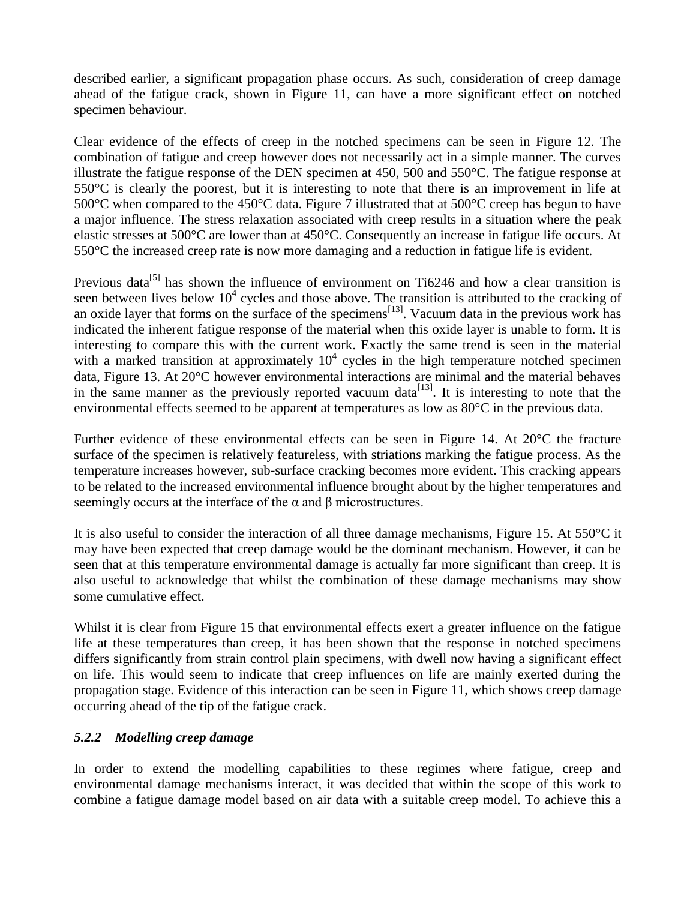described earlier, a significant propagation phase occurs. As such, consideration of creep damage ahead of the fatigue crack, shown in Figure 11, can have a more significant effect on notched specimen behaviour.

Clear evidence of the effects of creep in the notched specimens can be seen in Figure 12. The combination of fatigue and creep however does not necessarily act in a simple manner. The curves illustrate the fatigue response of the DEN specimen at 450, 500 and 550°C. The fatigue response at 550°C is clearly the poorest, but it is interesting to note that there is an improvement in life at 500 °C when compared to the 450 °C data. Figure 7 illustrated that at 500 °C creep has begun to have a major influence. The stress relaxation associated with creep results in a situation where the peak elastic stresses at 500°C are lower than at 450°C. Consequently an increase in fatigue life occurs. At 550°C the increased creep rate is now more damaging and a reduction in fatigue life is evident.

Previous data<sup>[5]</sup> has shown the influence of environment on Ti6246 and how a clear transition is seen between lives below  $10^4$  cycles and those above. The transition is attributed to the cracking of an oxide layer that forms on the surface of the specimens<sup>[13]</sup>. Vacuum data in the previous work has indicated the inherent fatigue response of the material when this oxide layer is unable to form. It is interesting to compare this with the current work. Exactly the same trend is seen in the material with a marked transition at approximately  $10<sup>4</sup>$  cycles in the high temperature notched specimen data, Figure 13. At 20°C however environmental interactions are minimal and the material behaves in the same manner as the previously reported vacuum data<sup>[13]</sup>. It is interesting to note that the environmental effects seemed to be apparent at temperatures as low as 80°C in the previous data.

Further evidence of these environmental effects can be seen in Figure 14. At 20°C the fracture surface of the specimen is relatively featureless, with striations marking the fatigue process. As the temperature increases however, sub-surface cracking becomes more evident. This cracking appears to be related to the increased environmental influence brought about by the higher temperatures and seemingly occurs at the interface of the  $\alpha$  and  $\beta$  microstructures.

It is also useful to consider the interaction of all three damage mechanisms, Figure 15. At 550°C it may have been expected that creep damage would be the dominant mechanism. However, it can be seen that at this temperature environmental damage is actually far more significant than creep. It is also useful to acknowledge that whilst the combination of these damage mechanisms may show some cumulative effect.

Whilst it is clear from Figure 15 that environmental effects exert a greater influence on the fatigue life at these temperatures than creep, it has been shown that the response in notched specimens differs significantly from strain control plain specimens, with dwell now having a significant effect on life. This would seem to indicate that creep influences on life are mainly exerted during the propagation stage. Evidence of this interaction can be seen in Figure 11, which shows creep damage occurring ahead of the tip of the fatigue crack.

# *5.2.2 Modelling creep damage*

In order to extend the modelling capabilities to these regimes where fatigue, creep and environmental damage mechanisms interact, it was decided that within the scope of this work to combine a fatigue damage model based on air data with a suitable creep model. To achieve this a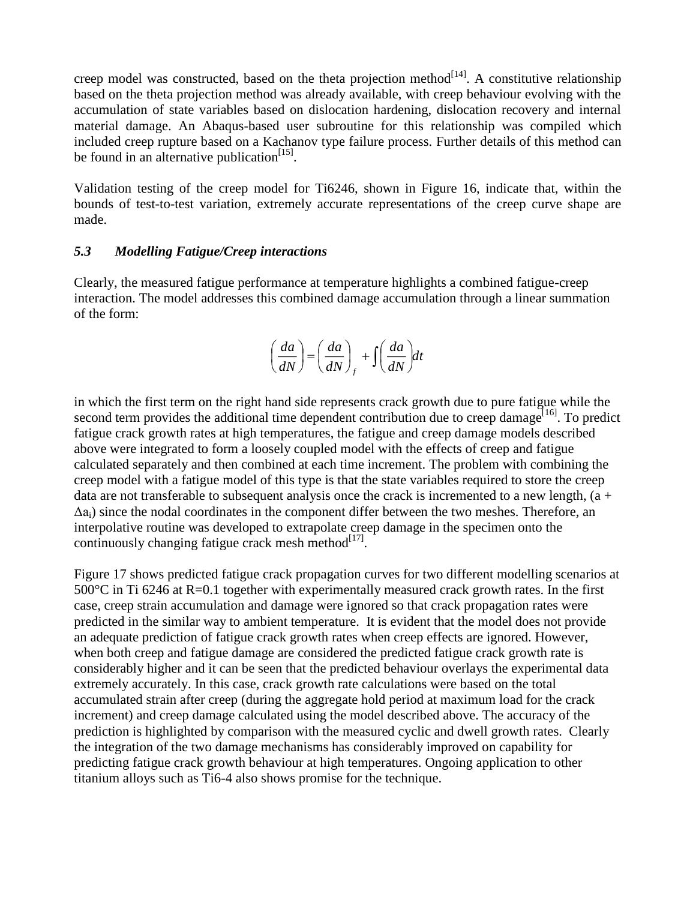creep model was constructed, based on the theta projection method  $[14]$ . A constitutive relationship based on the theta projection method was already available, with creep behaviour evolving with the accumulation of state variables based on dislocation hardening, dislocation recovery and internal material damage. An Abaqus-based user subroutine for this relationship was compiled which included creep rupture based on a Kachanov type failure process. Further details of this method can be found in an alternative publication $[15]$ .

Validation testing of the creep model for Ti6246, shown in Figure 16, indicate that, within the bounds of test-to-test variation, extremely accurate representations of the creep curve shape are made.

#### *5.3 Modelling Fatigue/Creep interactions*

Clearly, the measured fatigue performance at temperature highlights a combined fatigue-creep interaction. The model addresses this combined damage accumulation through a linear summation of the form:

$$
\left(\frac{da}{dN}\right) = \left(\frac{da}{dN}\right)_f + \int \left(\frac{da}{dN}\right)dt
$$

in which the first term on the right hand side represents crack growth due to pure fatigue while the second term provides the additional time dependent contribution due to creep damage<sup>[16]</sup>. To predict fatigue crack growth rates at high temperatures, the fatigue and creep damage models described above were integrated to form a loosely coupled model with the effects of creep and fatigue calculated separately and then combined at each time increment. The problem with combining the creep model with a fatigue model of this type is that the state variables required to store the creep data are not transferable to subsequent analysis once the crack is incremented to a new length,  $(a +$  $\Delta a_i$ ) since the nodal coordinates in the component differ between the two meshes. Therefore, an interpolative routine was developed to extrapolate creep damage in the specimen onto the continuously changing fatigue crack mesh method $^{[17]}$ .

Figure 17 shows predicted fatigue crack propagation curves for two different modelling scenarios at 500°C in Ti 6246 at R=0.1 together with experimentally measured crack growth rates. In the first case, creep strain accumulation and damage were ignored so that crack propagation rates were predicted in the similar way to ambient temperature. It is evident that the model does not provide an adequate prediction of fatigue crack growth rates when creep effects are ignored. However, when both creep and fatigue damage are considered the predicted fatigue crack growth rate is considerably higher and it can be seen that the predicted behaviour overlays the experimental data extremely accurately. In this case, crack growth rate calculations were based on the total accumulated strain after creep (during the aggregate hold period at maximum load for the crack increment) and creep damage calculated using the model described above. The accuracy of the prediction is highlighted by comparison with the measured cyclic and dwell growth rates. Clearly the integration of the two damage mechanisms has considerably improved on capability for predicting fatigue crack growth behaviour at high temperatures. Ongoing application to other titanium alloys such as Ti6-4 also shows promise for the technique.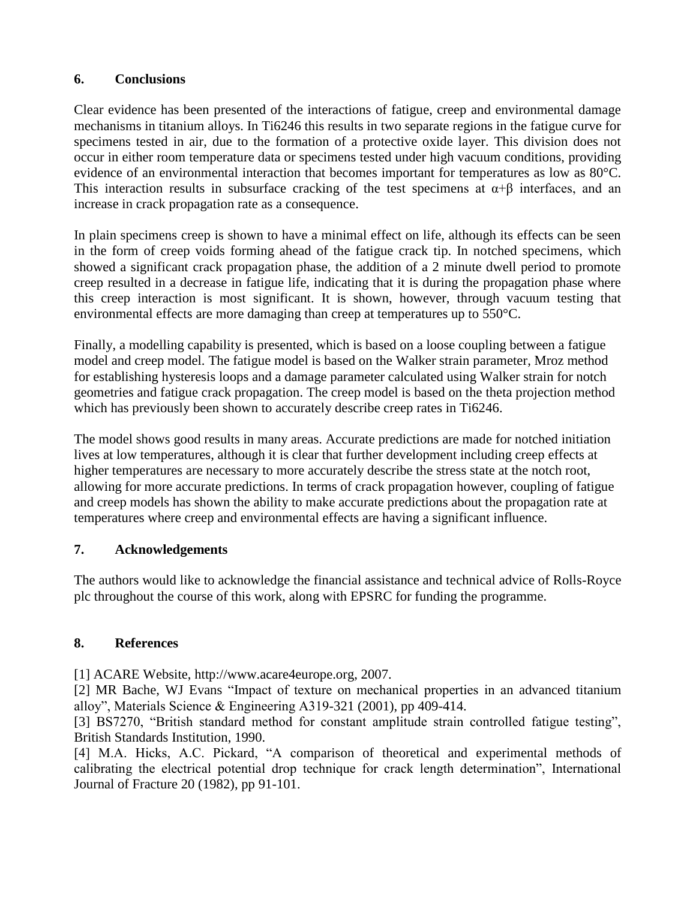### **6. Conclusions**

Clear evidence has been presented of the interactions of fatigue, creep and environmental damage mechanisms in titanium alloys. In Ti6246 this results in two separate regions in the fatigue curve for specimens tested in air, due to the formation of a protective oxide layer. This division does not occur in either room temperature data or specimens tested under high vacuum conditions, providing evidence of an environmental interaction that becomes important for temperatures as low as 80°C. This interaction results in subsurface cracking of the test specimens at  $\alpha+\beta$  interfaces, and an increase in crack propagation rate as a consequence.

In plain specimens creep is shown to have a minimal effect on life, although its effects can be seen in the form of creep voids forming ahead of the fatigue crack tip. In notched specimens, which showed a significant crack propagation phase, the addition of a 2 minute dwell period to promote creep resulted in a decrease in fatigue life, indicating that it is during the propagation phase where this creep interaction is most significant. It is shown, however, through vacuum testing that environmental effects are more damaging than creep at temperatures up to 550°C.

Finally, a modelling capability is presented, which is based on a loose coupling between a fatigue model and creep model. The fatigue model is based on the Walker strain parameter, Mroz method for establishing hysteresis loops and a damage parameter calculated using Walker strain for notch geometries and fatigue crack propagation. The creep model is based on the theta projection method which has previously been shown to accurately describe creep rates in Ti6246.

The model shows good results in many areas. Accurate predictions are made for notched initiation lives at low temperatures, although it is clear that further development including creep effects at higher temperatures are necessary to more accurately describe the stress state at the notch root, allowing for more accurate predictions. In terms of crack propagation however, coupling of fatigue and creep models has shown the ability to make accurate predictions about the propagation rate at temperatures where creep and environmental effects are having a significant influence.

### **7. Acknowledgements**

The authors would like to acknowledge the financial assistance and technical advice of Rolls-Royce plc throughout the course of this work, along with EPSRC for funding the programme.

# **8. References**

[1] ACARE Website, http://www.acare4europe.org, 2007.

[2] MR Bache, WJ Evans "Impact of texture on mechanical properties in an advanced titanium alloy", Materials Science & Engineering A319-321 (2001), pp 409-414.

[3] BS7270, "British standard method for constant amplitude strain controlled fatigue testing", British Standards Institution, 1990.

[4] M.A. Hicks, A.C. Pickard, "A comparison of theoretical and experimental methods of calibrating the electrical potential drop technique for crack length determination", International Journal of Fracture 20 (1982), pp 91-101.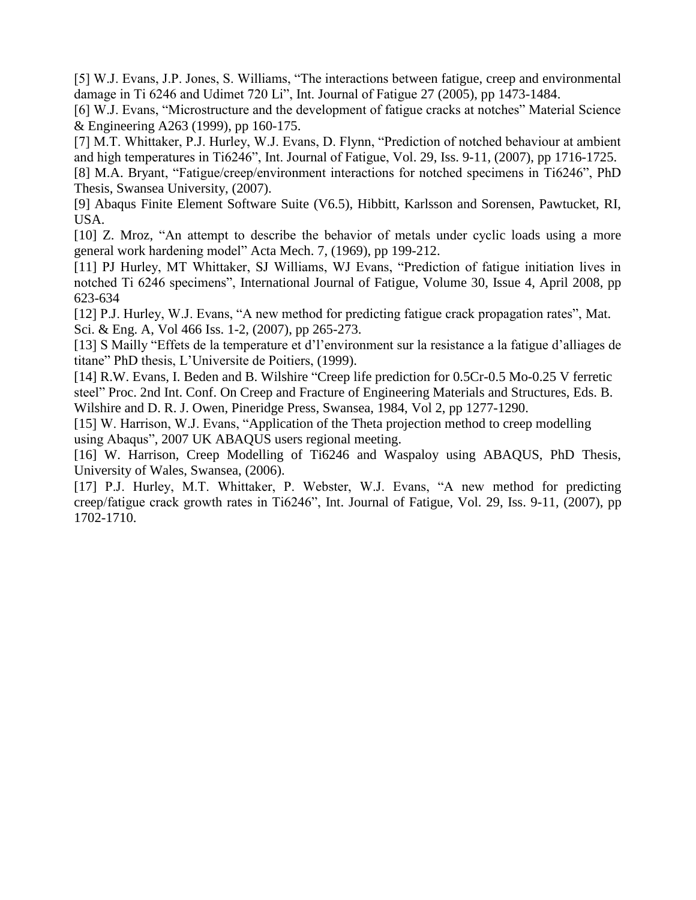[5] W.J. Evans, J.P. Jones, S. Williams, "The interactions between fatigue, creep and environmental damage in Ti 6246 and Udimet 720 Li", Int. Journal of Fatigue 27 (2005), pp 1473-1484.

[6] W.J. Evans, "Microstructure and the development of fatigue cracks at notches" Material Science & Engineering A263 (1999), pp 160-175.

[7] M.T. Whittaker, P.J. Hurley, W.J. Evans, D. Flynn, "Prediction of notched behaviour at ambient and high temperatures in Ti6246", Int. Journal of Fatigue, Vol. 29, Iss. 9-11, (2007), pp 1716-1725. [8] M.A. Bryant, "Fatigue/creep/environment interactions for notched specimens in Ti6246", PhD

Thesis, Swansea University, (2007).

[9] Abaqus Finite Element Software Suite (V6.5), Hibbitt, Karlsson and Sorensen, Pawtucket, RI, USA.

[10] Z. Mroz, "An attempt to describe the behavior of metals under cyclic loads using a more general work hardening model" Acta Mech. 7, (1969), pp 199-212.

[11] PJ Hurley, MT Whittaker, SJ Williams, WJ Evans, "Prediction of fatigue initiation lives in notched Ti 6246 specimens", International Journal of Fatigue, Volume 30, Issue 4, April 2008, pp 623-634

[12] P.J. Hurley, W.J. Evans, "A new method for predicting fatigue crack propagation rates", Mat. Sci. & Eng. A, Vol 466 Iss. 1-2, (2007), pp 265-273.

[13] S Mailly "Effets de la temperature et d'l'environment sur la resistance a la fatigue d'alliages de titane" PhD thesis, L'Universite de Poitiers, (1999).

[14] R.W. Evans, I. Beden and B. Wilshire "Creep life prediction for 0.5Cr-0.5 Mo-0.25 V ferretic steel" Proc. 2nd Int. Conf. On Creep and Fracture of Engineering Materials and Structures, Eds. B. Wilshire and D. R. J. Owen, Pineridge Press, Swansea, 1984, Vol 2, pp 1277-1290.

[15] W. Harrison, W.J. Evans, "Application of the Theta projection method to creep modelling using Abaqus", 2007 UK ABAQUS users regional meeting.

[16] W. Harrison, Creep Modelling of Ti6246 and Waspaloy using ABAQUS, PhD Thesis, University of Wales, Swansea, (2006).

[17] P.J. Hurley, M.T. Whittaker, P. Webster, W.J. Evans, "A new method for predicting creep/fatigue crack growth rates in Ti6246", Int. Journal of Fatigue, Vol. 29, Iss. 9-11, (2007), pp 1702-1710.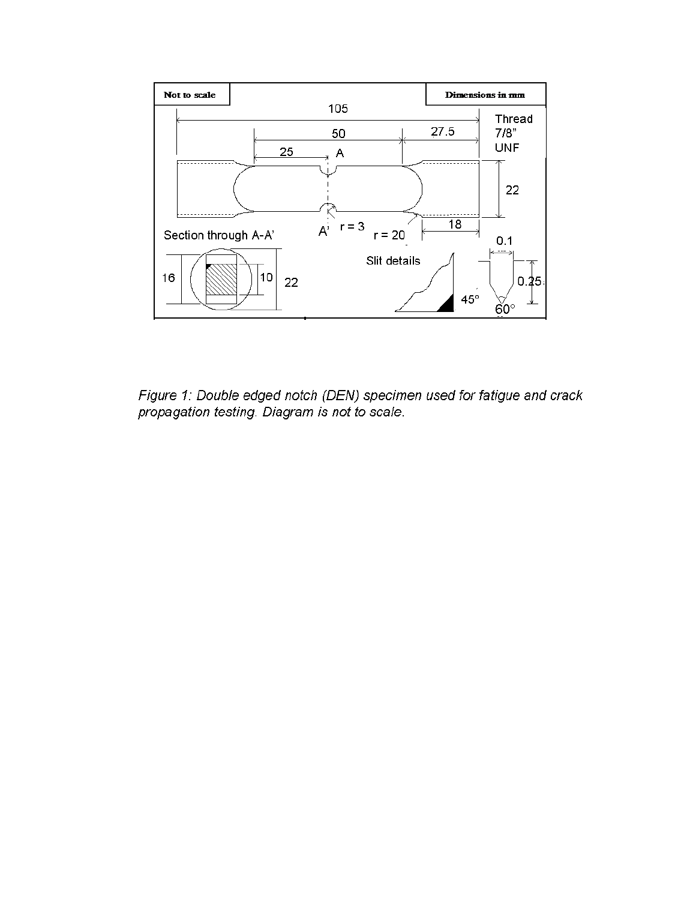

Figure 1: Double edged notch (DEN) specimen used for fatigue and crack propagation testing. Diagram is not to scale.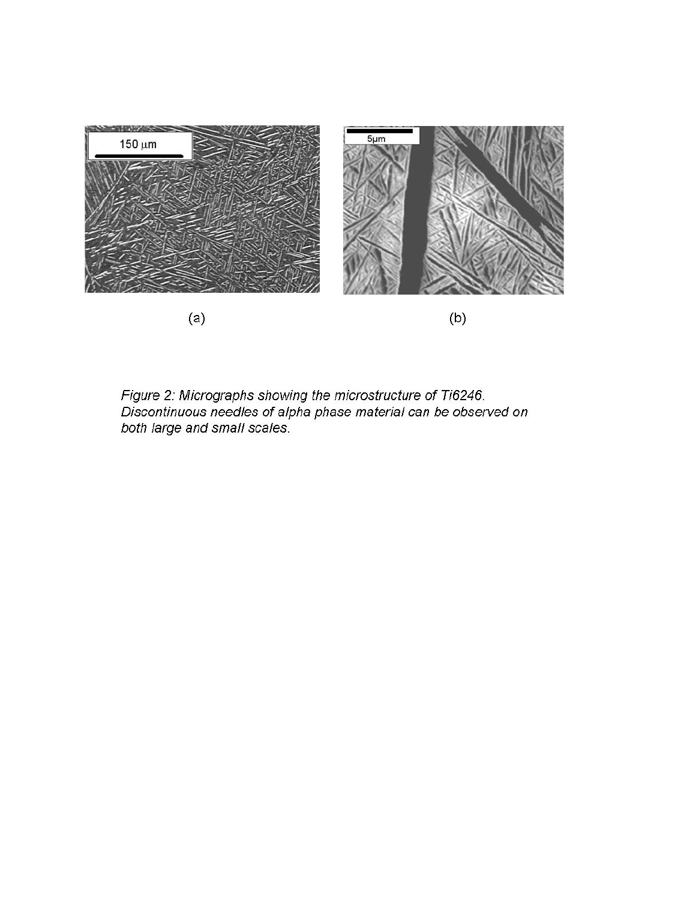

Figure 2: Micrographs showing the microstructure of Ti6246.<br>Discontinuous needles of alpha phase material can be observed on<br>both large and small scales.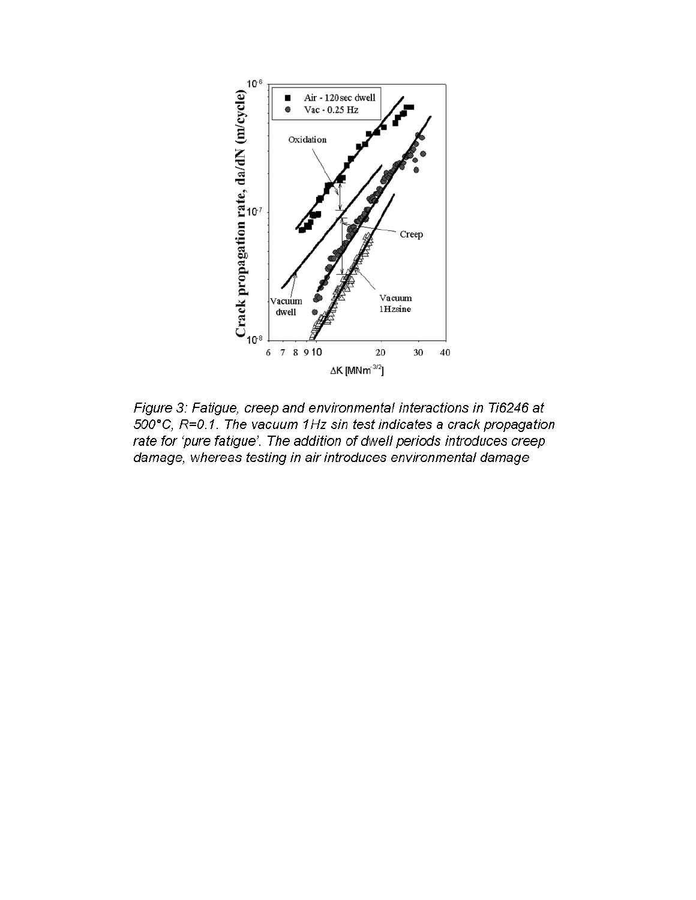

Figure 3: Fatigue, creep and environmental interactions in Ti6246 at 500°C, R=0.1. The vacuum 1Hz sin test indicates a crack propagation rate for 'pure fatigue'. The addition of dwell periods introduces creep damage, whereas testing in air introduces environmental damage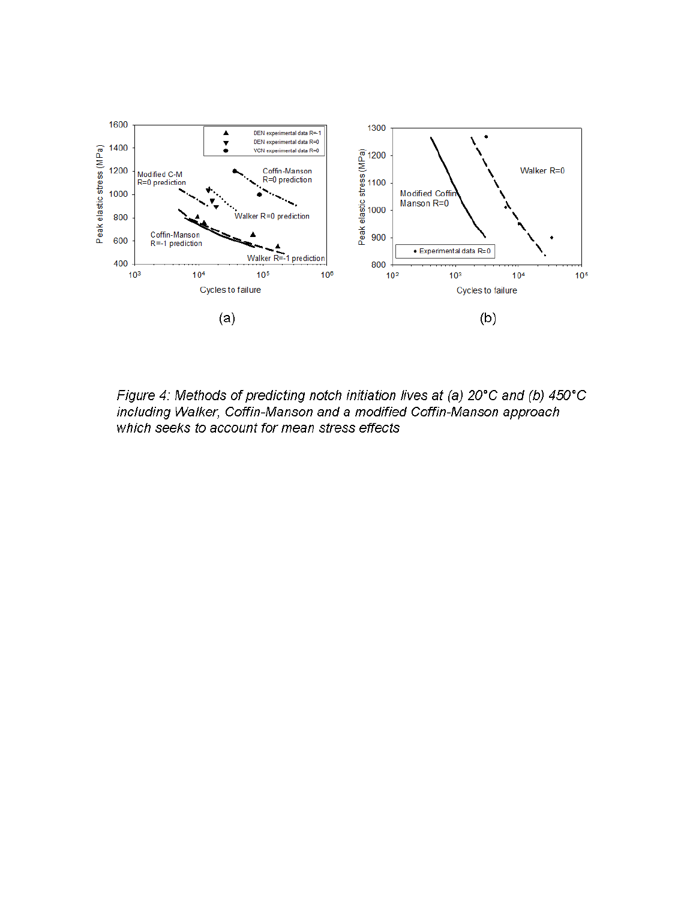

Figure 4: Methods of predicting notch initiation lives at (a) 20°C and (b) 450°C including Walker, Coffin-Manson and a modified Coffin-Manson approach which seeks to account for mean stress effects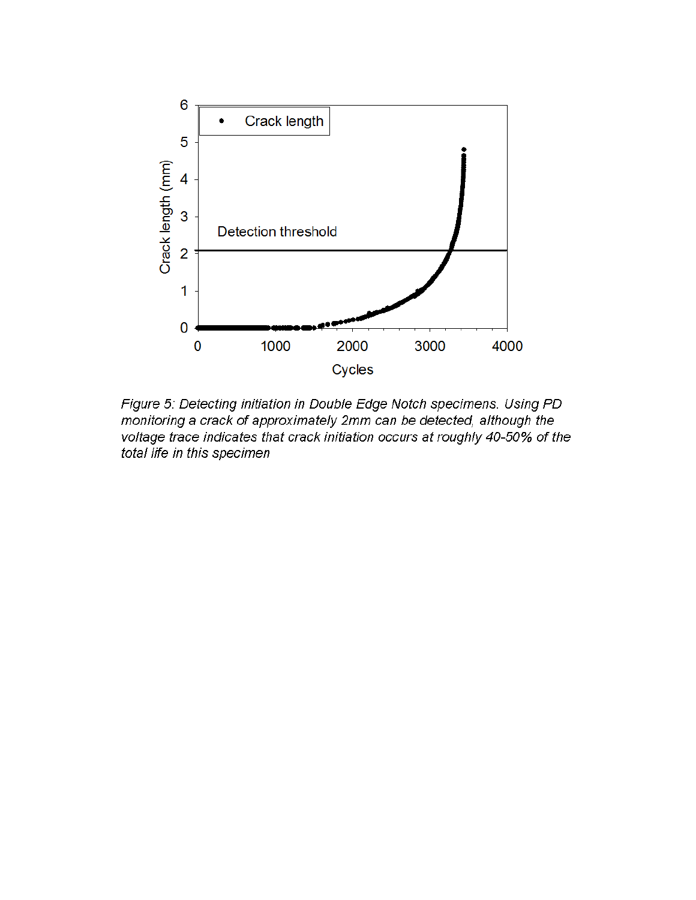

Figure 5: Detecting initiation in Double Edge Notch specimens. Using PD monitoring a crack of approximately 2mm can be detected, although the voltage trace indicates that crack initiation occurs at roughly 40-50% of the total life in this specimen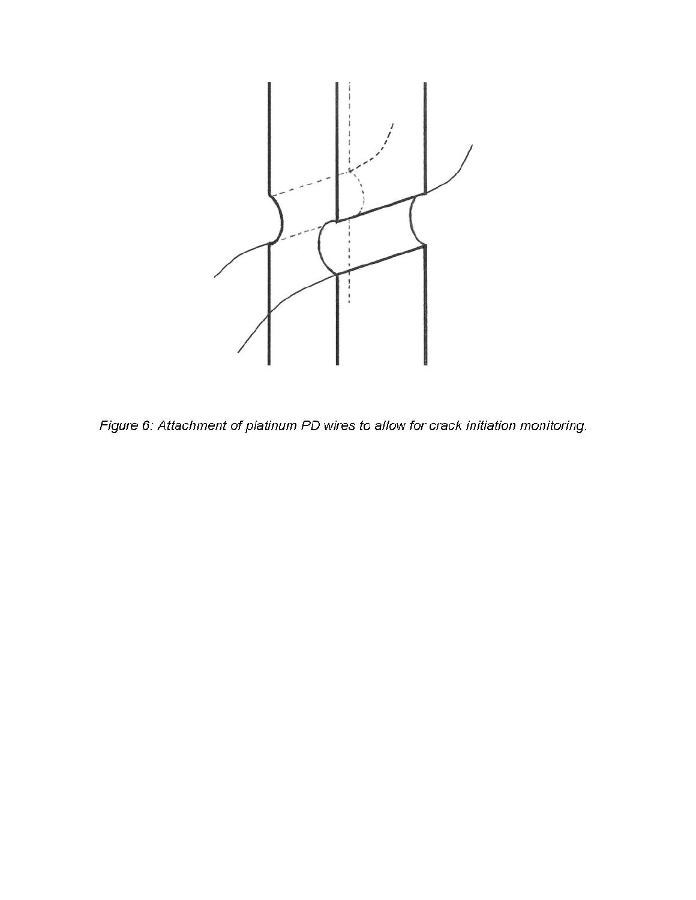

Figure 6: Attachment of platinum PD wires to allow for crack initiation monitoring.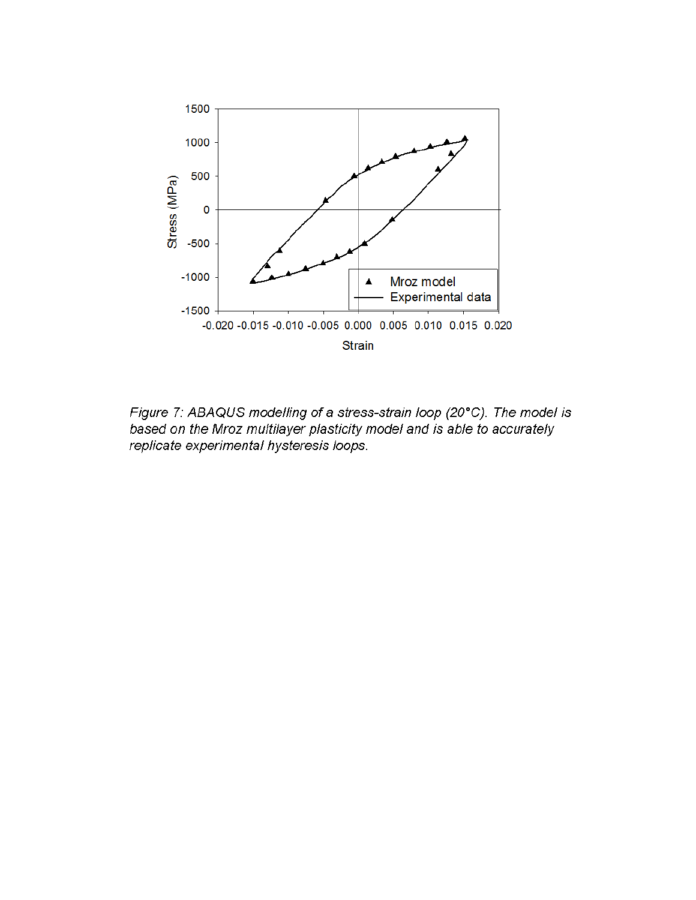

Figure 7: ABAQUS modelling of a stress-strain loop (20°C). The model is based on the Mroz multilayer plasticity model and is able to accurately replicate experimental hysteresis loops.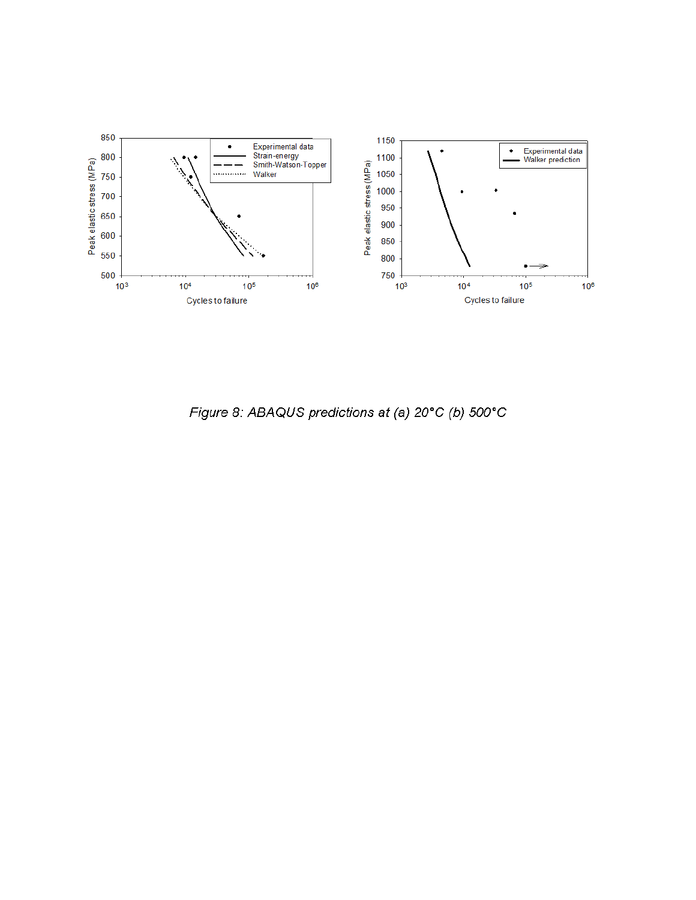

Figure 8: ABAQUS predictions at (a) 20°C (b) 500°C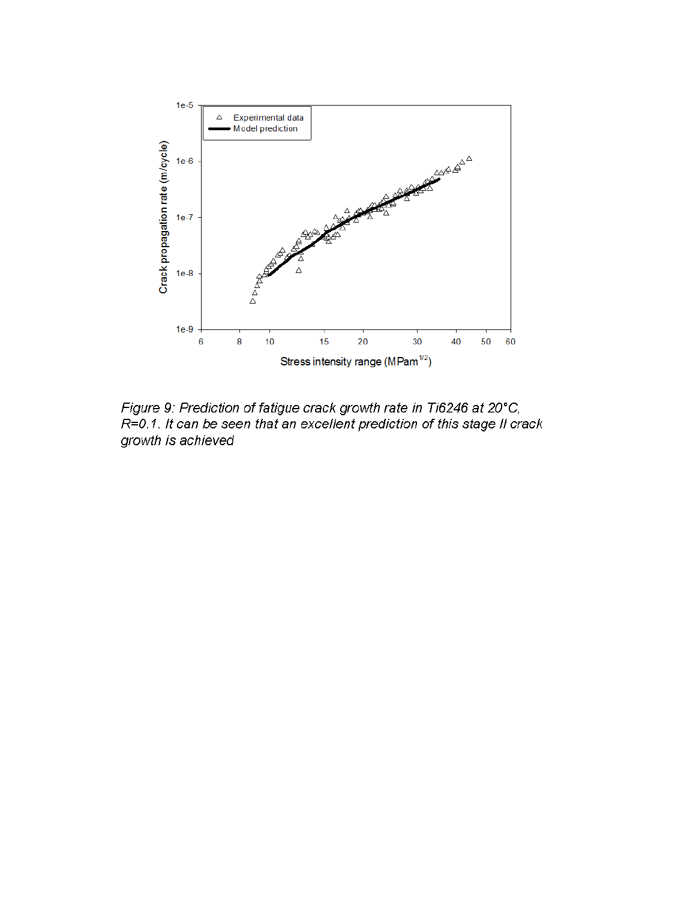

Figure 9: Prediction of fatigue crack growth rate in Ti6246 at 20°C, R=0.1. It can be seen that an excellent prediction of this stage II crack growth is achieved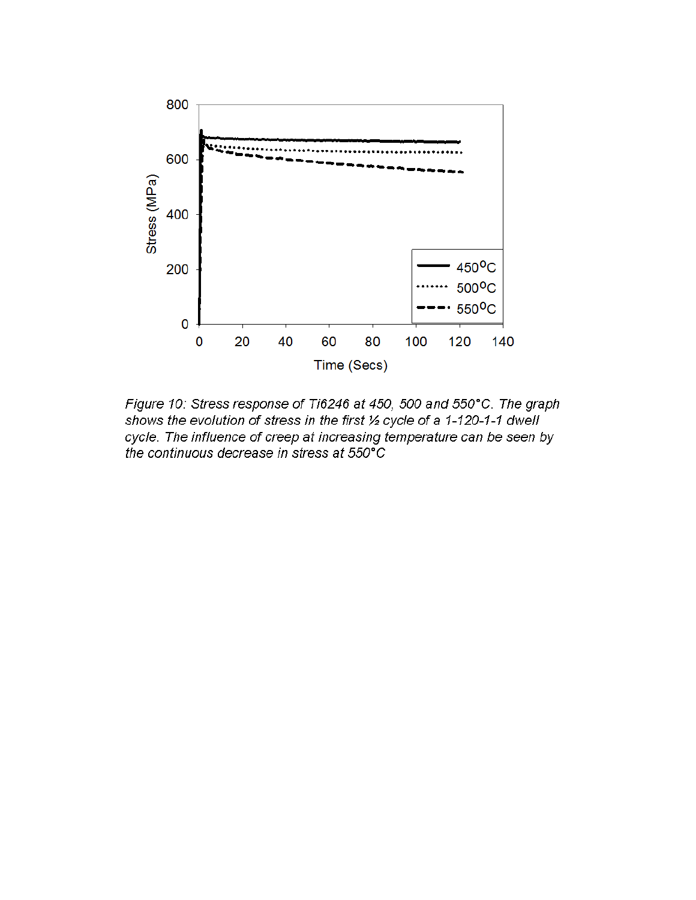

Figure 10: Stress response of Ti6246 at 450, 500 and 550°C. The graph shows the evolution of stress in the first 1/2 cycle of a 1-120-1-1 dwell cycle. The influence of creep at increasing temperature can be seen by the continuous decrease in stress at 550°C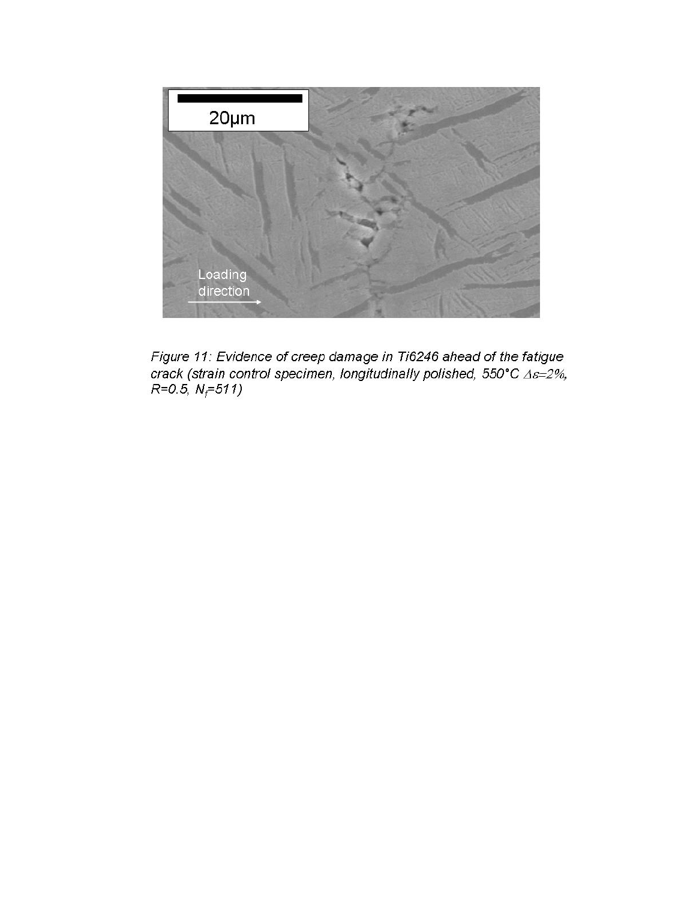

Figure 11: Evidence of creep damage in Ti6246 ahead of the fatigue crack (strain control specimen, longitudinally polished, 550°C  $\Delta \epsilon = 2\%$ ,<br>R=0.5, N<sub>i</sub>=511)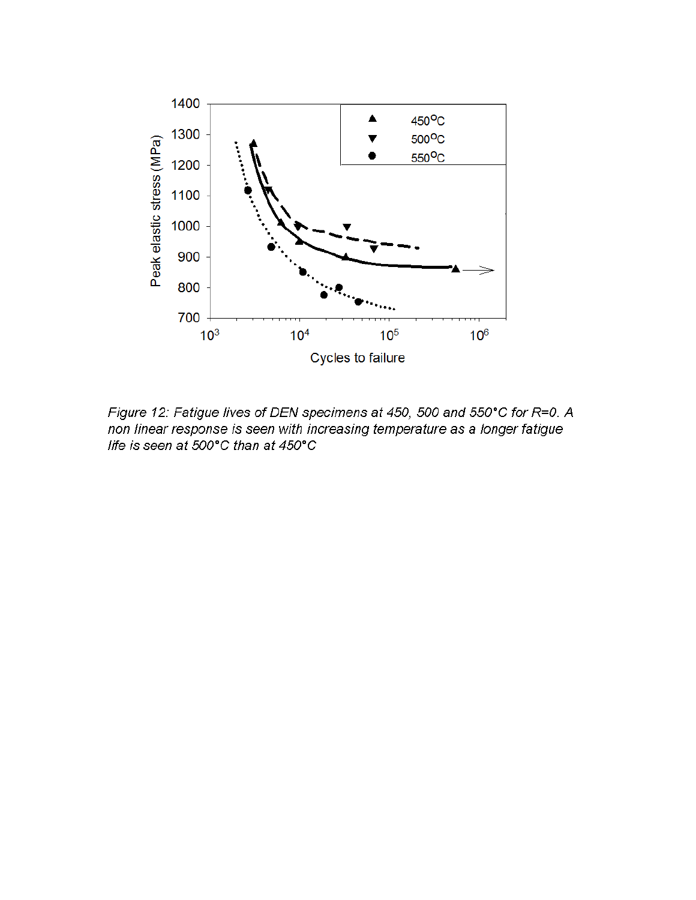

Figure 12: Fatigue lives of DEN specimens at 450, 500 and 550°C for R=0. A non linear response is seen with increasing temperature as a longer fatigue life is seen at 500°C than at 450°C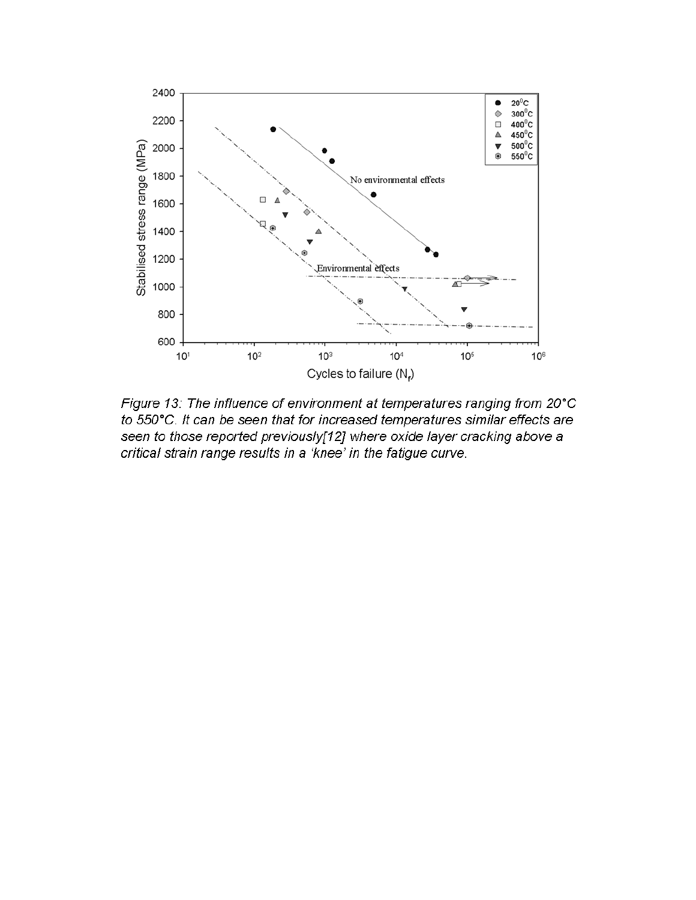

Figure 13: The influence of environment at temperatures ranging from 20°C to 550°C. It can be seen that for increased temperatures similar effects are seen to those reported previously[12] where oxide layer cracking above a critical strain range results in a 'knee' in the fatigue curve.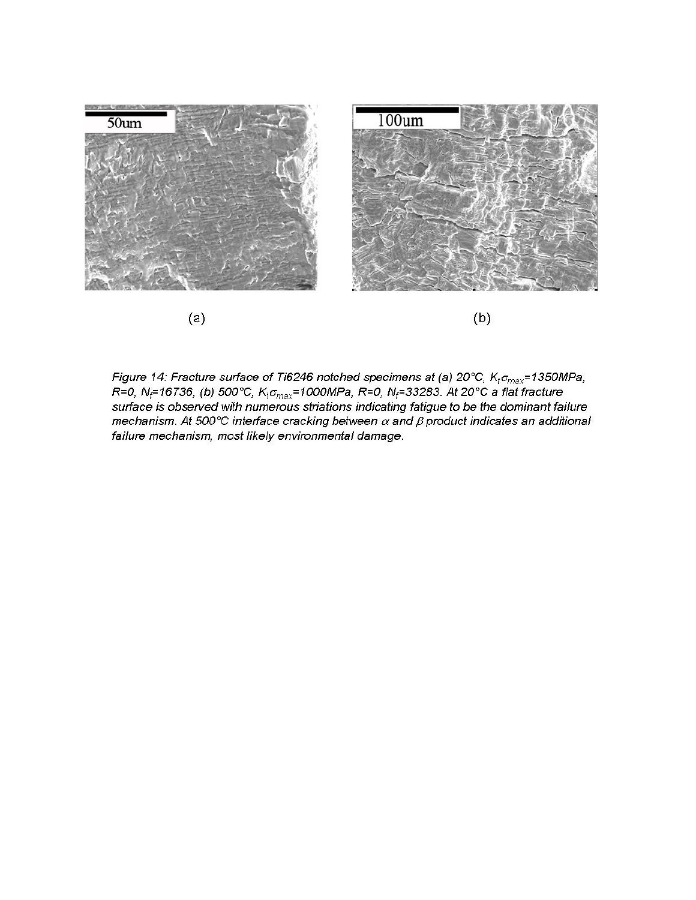

Figure 14: Fracture surface of Ti6246 notched specimens at (a) 20°C,  $K_t \sigma_{max}$ =1350MPa, R=0, N<sub>i</sub>=16736, (b) 500°C, K<sub>t</sub> $\sigma_{max}$ =1000MPa, R=0, N<sub>f</sub>=33283. At 20°C a flat fracture surface is observed with numerous striations indicating fatigue to be the dominant failure mechanism. At 500°C interface cracking between  $\alpha$  and  $\beta$  product indicates an additional failure mechanism, most likely environmental damage.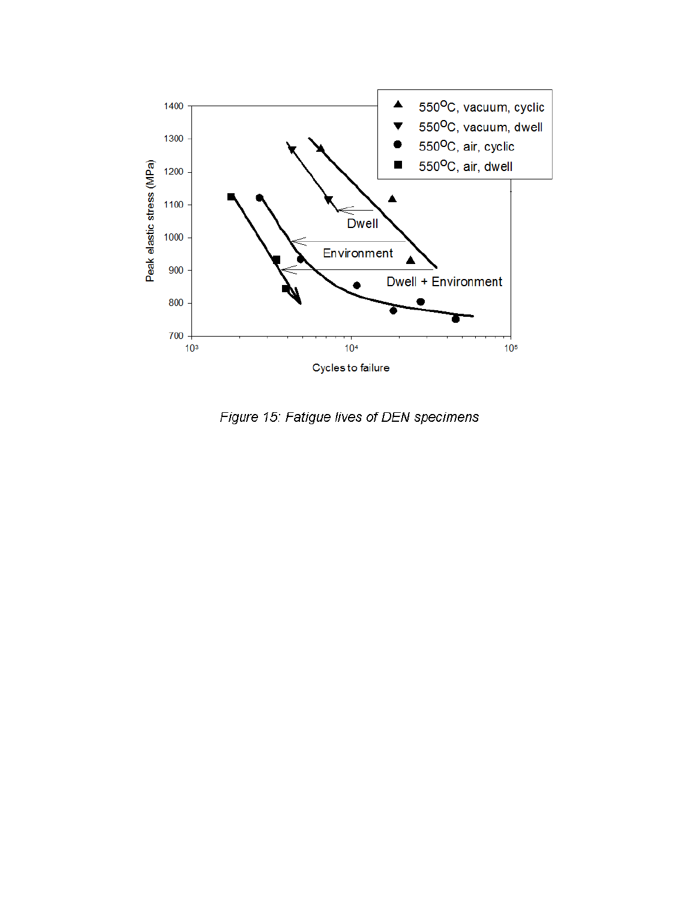

Figure 15: Fatigue lives of DEN specimens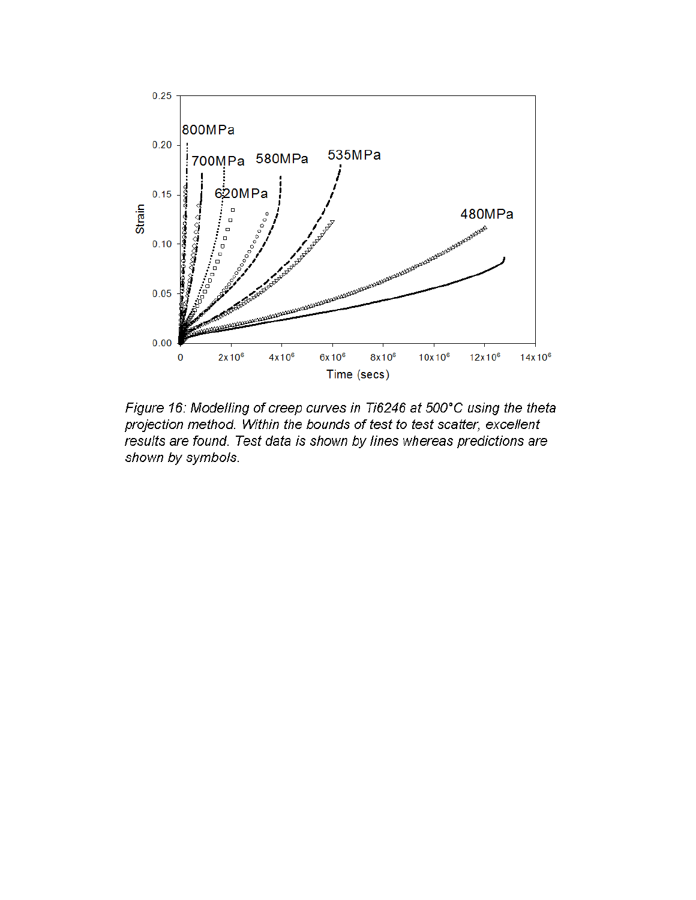

Figure 16: Modelling of creep curves in Ti6246 at 500°C using the theta projection method. Within the bounds of test to test scatter, excellent results are found. Test data is shown by lines whereas predictions are shown by symbols.